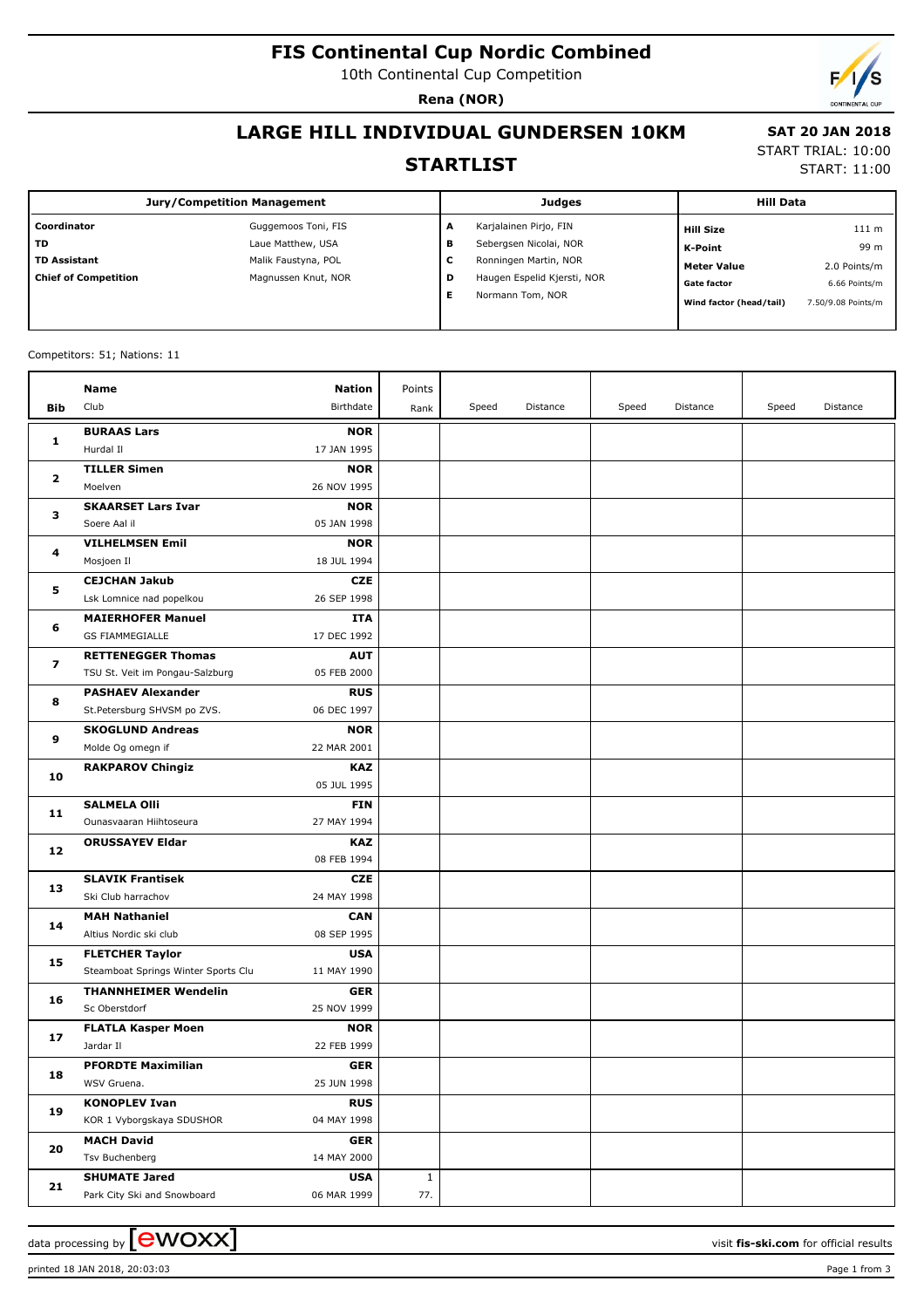# **FIS Continental Cup Nordic Combined**

10th Continental Cup Competition

**Rena (NOR)**

 **SAT 20 JAN 2018** START TRIAL: 10:00 START: 11:00

#### **LARGE HILL INDIVIDUAL GUNDERSEN 10KM**

#### **STARTLIST**

| <b>Jury/Competition Management</b> |                     |   | <b>Judges</b>               | <b>Hill Data</b>        |                    |
|------------------------------------|---------------------|---|-----------------------------|-------------------------|--------------------|
| Coordinator                        | Guggemoos Toni, FIS | А | Karjalainen Pirjo, FIN      | <b>Hill Size</b>        | 111 m              |
| l TD                               | Laue Matthew, USA   | в | Sebergsen Nicolai, NOR      | K-Point                 | 99 m               |
| TD Assistant                       | Malik Faustyna, POL | c | Ronningen Martin, NOR       | <b>Meter Value</b>      | 2.0 Points/m       |
| Chief of Competition               | Magnussen Knut, NOR | D | Haugen Espelid Kjersti, NOR | <b>Gate factor</b>      | 6.66 Points/m      |
|                                    |                     | Е | Normann Tom, NOR            | Wind factor (head/tail) | 7.50/9.08 Points/m |
|                                    |                     |   |                             |                         |                    |

#### Competitors: 51; Nations: 11

|                   | Name                                | <b>Nation</b> | Points       |       |          |       |          |       |          |
|-------------------|-------------------------------------|---------------|--------------|-------|----------|-------|----------|-------|----------|
| Bib               | Club                                | Birthdate     | Rank         | Speed | Distance | Speed | Distance | Speed | Distance |
|                   | <b>BURAAS Lars</b>                  | <b>NOR</b>    |              |       |          |       |          |       |          |
| 1                 | Hurdal II                           | 17 JAN 1995   |              |       |          |       |          |       |          |
| $\mathbf{2}$<br>з | <b>TILLER Simen</b>                 | <b>NOR</b>    |              |       |          |       |          |       |          |
|                   | Moelven                             | 26 NOV 1995   |              |       |          |       |          |       |          |
|                   | <b>SKAARSET Lars Ivar</b>           | <b>NOR</b>    |              |       |          |       |          |       |          |
|                   | Soere Aal il                        | 05 JAN 1998   |              |       |          |       |          |       |          |
|                   | <b>VILHELMSEN Emil</b>              | <b>NOR</b>    |              |       |          |       |          |       |          |
| 4                 | Mosjoen Il                          | 18 JUL 1994   |              |       |          |       |          |       |          |
|                   | <b>CEJCHAN Jakub</b>                | <b>CZE</b>    |              |       |          |       |          |       |          |
| 5                 | Lsk Lomnice nad popelkou            | 26 SEP 1998   |              |       |          |       |          |       |          |
|                   | <b>MAIERHOFER Manuel</b>            | ITA           |              |       |          |       |          |       |          |
| 6                 | <b>GS FIAMMEGIALLE</b>              | 17 DEC 1992   |              |       |          |       |          |       |          |
|                   | <b>RETTENEGGER Thomas</b>           | <b>AUT</b>    |              |       |          |       |          |       |          |
| 7                 | TSU St. Veit im Pongau-Salzburg     | 05 FEB 2000   |              |       |          |       |          |       |          |
|                   | <b>PASHAEV Alexander</b>            | <b>RUS</b>    |              |       |          |       |          |       |          |
| 8                 | St.Petersburg SHVSM po ZVS.         | 06 DEC 1997   |              |       |          |       |          |       |          |
|                   | <b>SKOGLUND Andreas</b>             | <b>NOR</b>    |              |       |          |       |          |       |          |
| 9                 | Molde Og omegn if                   | 22 MAR 2001   |              |       |          |       |          |       |          |
| 10                | <b>RAKPAROV Chingiz</b>             | <b>KAZ</b>    |              |       |          |       |          |       |          |
|                   |                                     | 05 JUL 1995   |              |       |          |       |          |       |          |
| 11                | <b>SALMELA Olli</b>                 | <b>FIN</b>    |              |       |          |       |          |       |          |
|                   | Ounasvaaran Hiihtoseura             | 27 MAY 1994   |              |       |          |       |          |       |          |
| 12                | <b>ORUSSAYEV Eldar</b>              | <b>KAZ</b>    |              |       |          |       |          |       |          |
|                   |                                     | 08 FEB 1994   |              |       |          |       |          |       |          |
| 13                | <b>SLAVIK Frantisek</b>             | <b>CZE</b>    |              |       |          |       |          |       |          |
|                   | Ski Club harrachov                  | 24 MAY 1998   |              |       |          |       |          |       |          |
| 14                | <b>MAH Nathaniel</b>                | <b>CAN</b>    |              |       |          |       |          |       |          |
|                   | Altius Nordic ski club              | 08 SEP 1995   |              |       |          |       |          |       |          |
| 15                | <b>FLETCHER Taylor</b>              | <b>USA</b>    |              |       |          |       |          |       |          |
|                   | Steamboat Springs Winter Sports Clu | 11 MAY 1990   |              |       |          |       |          |       |          |
| 16                | <b>THANNHEIMER Wendelin</b>         | <b>GER</b>    |              |       |          |       |          |       |          |
|                   | Sc Oberstdorf                       | 25 NOV 1999   |              |       |          |       |          |       |          |
| 17                | <b>FLATLA Kasper Moen</b>           | <b>NOR</b>    |              |       |          |       |          |       |          |
|                   | Jardar II                           | 22 FEB 1999   |              |       |          |       |          |       |          |
| 18                | <b>PFORDTE Maximilian</b>           | <b>GER</b>    |              |       |          |       |          |       |          |
|                   | WSV Gruena.                         | 25 JUN 1998   |              |       |          |       |          |       |          |
| 19                | <b>KONOPLEV Ivan</b>                | <b>RUS</b>    |              |       |          |       |          |       |          |
|                   | KOR 1 Vyborgskaya SDUSHOR           | 04 MAY 1998   |              |       |          |       |          |       |          |
| 20                | <b>MACH David</b>                   | <b>GER</b>    |              |       |          |       |          |       |          |
|                   | Tsv Buchenberg                      | 14 MAY 2000   |              |       |          |       |          |       |          |
| 21                | <b>SHUMATE Jared</b>                | <b>USA</b>    | $\mathbf{1}$ |       |          |       |          |       |          |
|                   | Park City Ski and Snowboard         | 06 MAR 1999   | 77.          |       |          |       |          |       |          |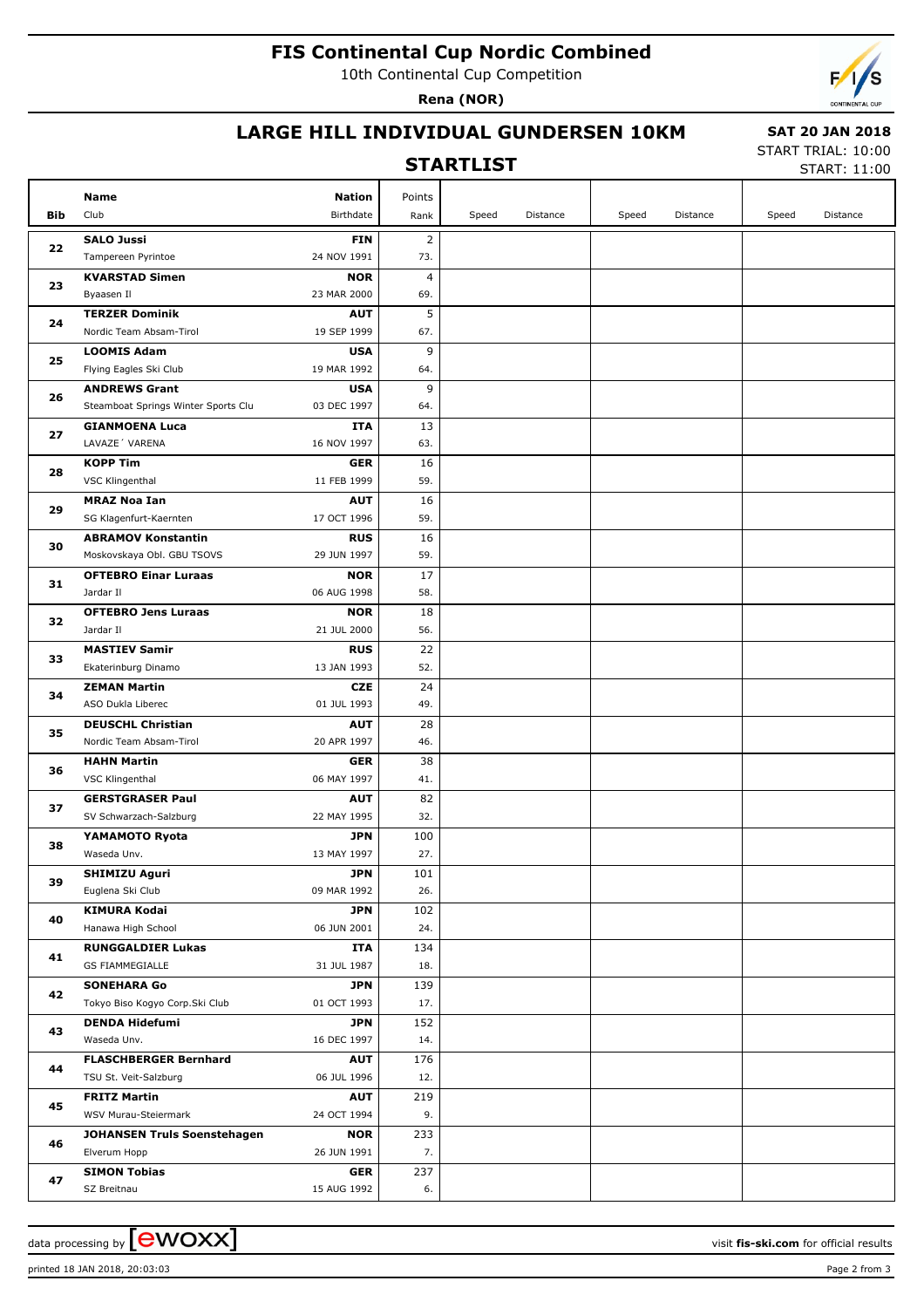# **FIS Continental Cup Nordic Combined**

10th Continental Cup Competition

**Rena (NOR)**



## **LARGE HILL INDIVIDUAL GUNDERSEN 10KM**

#### **STARTLIST**

 **SAT 20 JAN 2018** START TRIAL: 10:00

START: 11:00

|            | Name                                                    | <b>Nation</b>             | Points         |       |          |       |          |       |          |
|------------|---------------------------------------------------------|---------------------------|----------------|-------|----------|-------|----------|-------|----------|
| <b>Bib</b> | Club                                                    | Birthdate                 | Rank           | Speed | Distance | Speed | Distance | Speed | Distance |
| 22         | <b>SALO Jussi</b>                                       | <b>FIN</b>                | $\overline{2}$ |       |          |       |          |       |          |
|            | Tampereen Pyrintoe                                      | 24 NOV 1991               | 73.            |       |          |       |          |       |          |
| 23         | <b>KVARSTAD Simen</b>                                   | <b>NOR</b>                | $\overline{4}$ |       |          |       |          |       |          |
|            | Byaasen Il                                              | 23 MAR 2000               | 69.            |       |          |       |          |       |          |
| 24         | <b>TERZER Dominik</b>                                   | <b>AUT</b>                | 5              |       |          |       |          |       |          |
|            | Nordic Team Absam-Tirol                                 | 19 SEP 1999               | 67.            |       |          |       |          |       |          |
| 25         | <b>LOOMIS Adam</b>                                      | <b>USA</b>                | 9              |       |          |       |          |       |          |
|            | Flying Eagles Ski Club                                  | 19 MAR 1992               | 64.            |       |          |       |          |       |          |
| 26         | <b>ANDREWS Grant</b>                                    | <b>USA</b>                | 9              |       |          |       |          |       |          |
|            | Steamboat Springs Winter Sports Clu                     | 03 DEC 1997               | 64.            |       |          |       |          |       |          |
| 27         | <b>GIANMOENA Luca</b>                                   | ITA                       | 13             |       |          |       |          |       |          |
|            | LAVAZE' VARENA                                          | 16 NOV 1997               | 63.            |       |          |       |          |       |          |
| 28         | <b>KOPP Tim</b>                                         | <b>GER</b>                | 16             |       |          |       |          |       |          |
|            | VSC Klingenthal                                         | 11 FEB 1999               | 59.            |       |          |       |          |       |          |
| 29         | <b>MRAZ Noa Ian</b>                                     | <b>AUT</b>                | 16             |       |          |       |          |       |          |
|            | SG Klagenfurt-Kaernten                                  | 17 OCT 1996               | 59.            |       |          |       |          |       |          |
| 30         | <b>ABRAMOV Konstantin</b><br>Moskovskaya Obl. GBU TSOVS | <b>RUS</b><br>29 JUN 1997 | 16<br>59.      |       |          |       |          |       |          |
|            | <b>OFTEBRO Einar Luraas</b>                             | <b>NOR</b>                | 17             |       |          |       |          |       |          |
| 31         | Jardar II                                               | 06 AUG 1998               | 58.            |       |          |       |          |       |          |
|            | <b>OFTEBRO Jens Luraas</b>                              | <b>NOR</b>                | 18             |       |          |       |          |       |          |
| 32         | Jardar II                                               | 21 JUL 2000               | 56.            |       |          |       |          |       |          |
|            | <b>MASTIEV Samir</b>                                    | <b>RUS</b>                | 22             |       |          |       |          |       |          |
| 33         | Ekaterinburg Dinamo                                     | 13 JAN 1993               | 52.            |       |          |       |          |       |          |
|            | <b>ZEMAN Martin</b>                                     | <b>CZE</b>                | 24             |       |          |       |          |       |          |
| 34         | ASO Dukla Liberec                                       | 01 JUL 1993               | 49.            |       |          |       |          |       |          |
|            | <b>DEUSCHL Christian</b>                                | <b>AUT</b>                | 28             |       |          |       |          |       |          |
| 35         | Nordic Team Absam-Tirol                                 | 20 APR 1997               | 46.            |       |          |       |          |       |          |
| 36         | <b>HAHN Martin</b>                                      | <b>GER</b>                | 38             |       |          |       |          |       |          |
|            | VSC Klingenthal                                         | 06 MAY 1997               | 41.            |       |          |       |          |       |          |
| 37         | <b>GERSTGRASER Paul</b>                                 | <b>AUT</b>                | 82             |       |          |       |          |       |          |
|            | SV Schwarzach-Salzburg                                  | 22 MAY 1995               | 32.            |       |          |       |          |       |          |
| 38         | YAMAMOTO Ryota                                          | <b>JPN</b>                | 100            |       |          |       |          |       |          |
|            | Waseda Unv.                                             | 13 MAY 1997               | 27.            |       |          |       |          |       |          |
| 39         | <b>SHIMIZU Aguri</b>                                    | <b>JPN</b>                | 101            |       |          |       |          |       |          |
|            | Euglena Ski Club                                        | 09 MAR 1992               | 26.            |       |          |       |          |       |          |
| 40         | <b>KIMURA Kodai</b><br>Hanawa High School               | <b>JPN</b><br>06 JUN 2001 | 102<br>24.     |       |          |       |          |       |          |
|            | <b>RUNGGALDIER Lukas</b>                                | <b>ITA</b>                | 134            |       |          |       |          |       |          |
| 41         | <b>GS FIAMMEGIALLE</b>                                  | 31 JUL 1987               | 18.            |       |          |       |          |       |          |
|            | <b>SONEHARA Go</b>                                      | <b>JPN</b>                | 139            |       |          |       |          |       |          |
| 42         | Tokyo Biso Kogyo Corp.Ski Club                          | 01 OCT 1993               | 17.            |       |          |       |          |       |          |
|            | <b>DENDA Hidefumi</b>                                   | <b>JPN</b>                | 152            |       |          |       |          |       |          |
| 43         | Waseda Unv.                                             | 16 DEC 1997               | 14.            |       |          |       |          |       |          |
|            | <b>FLASCHBERGER Bernhard</b>                            | <b>AUT</b>                | 176            |       |          |       |          |       |          |
| 44         | TSU St. Veit-Salzburg                                   | 06 JUL 1996               | 12.            |       |          |       |          |       |          |
|            | <b>FRITZ Martin</b>                                     | <b>AUT</b>                | 219            |       |          |       |          |       |          |
| 45         | WSV Murau-Steiermark                                    | 24 OCT 1994               | 9.             |       |          |       |          |       |          |
|            | <b>JOHANSEN Truls Soenstehagen</b>                      | <b>NOR</b>                | 233            |       |          |       |          |       |          |
| 46         | Elverum Hopp                                            | 26 JUN 1991               | 7.             |       |          |       |          |       |          |
| 47         | <b>SIMON Tobias</b>                                     | <b>GER</b>                | 237            |       |          |       |          |       |          |
|            | SZ Breitnau                                             | 15 AUG 1992               | 6.             |       |          |       |          |       |          |

data processing by **CWOXX** and  $\overline{C}$  and  $\overline{C}$  and  $\overline{C}$  and  $\overline{C}$  and  $\overline{C}$  and  $\overline{C}$  and  $\overline{C}$  and  $\overline{C}$  and  $\overline{C}$  and  $\overline{C}$  and  $\overline{C}$  and  $\overline{C}$  and  $\overline{C}$  and  $\overline{C}$  and  $\overline{C}$ 

printed 18 JAN 2018, 20:03:03 Page 2 from 3